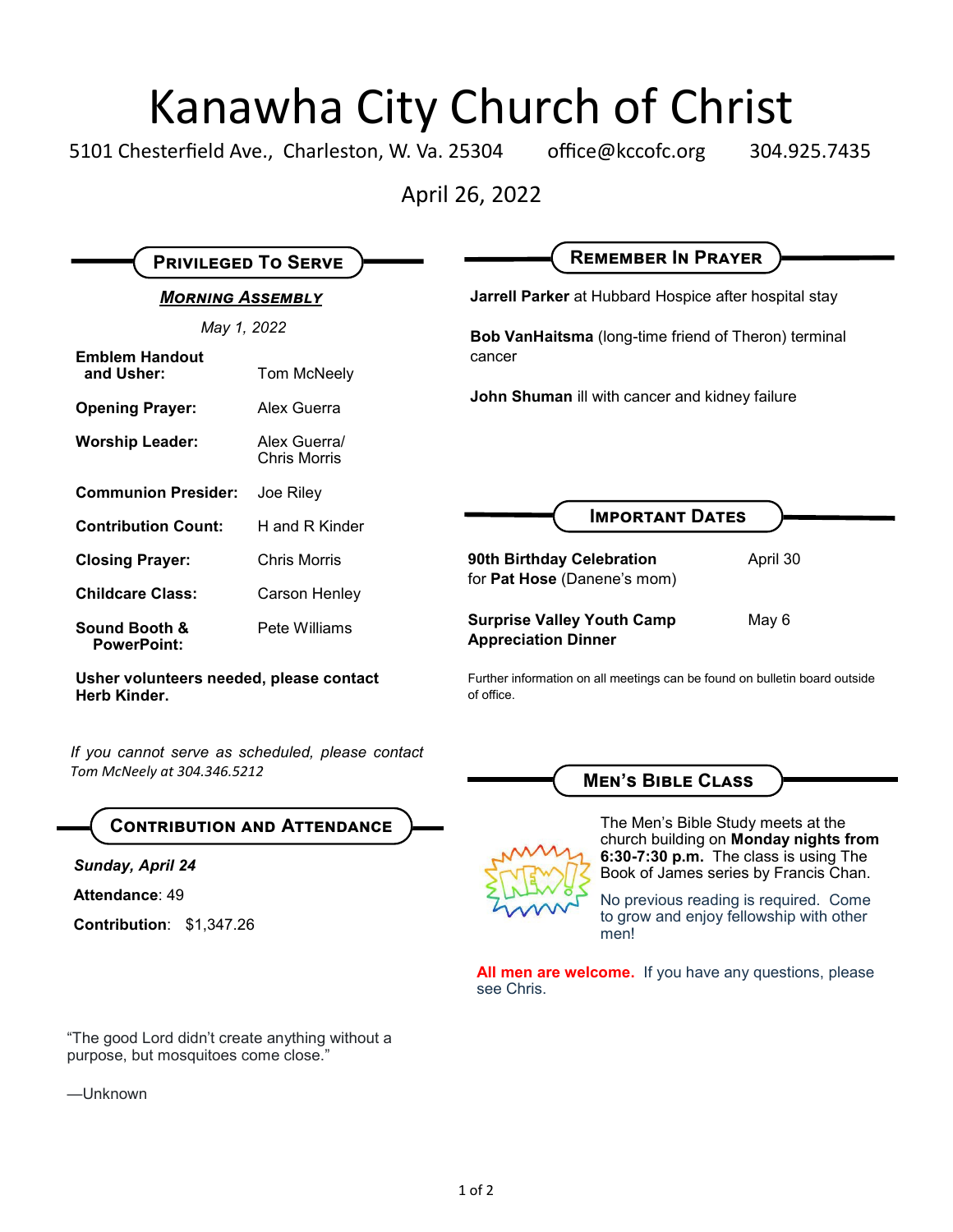# Kanawha City Church of Christ

5101 Chesterfield Ave., Charleston, W. Va. 25304 office@kccofc.org 304.925.7435

April 26, 2022

| <b>PRIVILEGED TO SERVE</b>          |                                     | <b>REMEMBER IN PRAYER</b>                                                |
|-------------------------------------|-------------------------------------|--------------------------------------------------------------------------|
| <b>MORNING ASSEMBLY</b>             |                                     | <b>Jarrell Parker</b> at Hubbard Hospice after hospital stay             |
| May 1, 2022                         |                                     | <b>Bob VanHaitsma</b> (long-time friend of Theron) terminal              |
| <b>Emblem Handout</b><br>and Usher: | Tom McNeely                         | cancer<br>John Shuman ill with cancer and kidney failure                 |
| <b>Opening Prayer:</b>              | Alex Guerra                         |                                                                          |
| <b>Worship Leader:</b>              | Alex Guerra/<br><b>Chris Morris</b> |                                                                          |
| <b>Communion Presider:</b>          | Joe Riley                           | <b>IMPORTANT DATES</b>                                                   |
| <b>Contribution Count:</b>          | H and R Kinder                      |                                                                          |
| <b>Closing Prayer:</b>              | <b>Chris Morris</b>                 | 90th Birthday Celebration<br>April 30<br>for Pat Hose (Danene's mom)     |
| <b>Childcare Class:</b>             | Carson Henley                       |                                                                          |
| Sound Booth &<br><b>PowerPoint:</b> | Pete Williams                       | <b>Surprise Valley Youth Camp</b><br>May 6<br><b>Appreciation Dinner</b> |

of office.

**Usher volunteers needed, please contact Herb Kinder.**

*If you cannot serve as scheduled, please contact Tom McNeely at 304.346.5212*



*Sunday, April 24*

**Attendance**: 49

**Contribution**: \$1,347.26

"The good Lord didn't create anything without a purpose, but mosquitoes come close."

—Unknown



The Men's Bible Study meets at the church building on **Monday nights from 6:30-7:30 p.m.** The class is using The Book of James series by Francis Chan.

No previous reading is required. Come to grow and enjoy fellowship with other men!

**All men are welcome.** If you have any questions, please see Chris.

Further information on all meetings can be found on bulletin board outside

**Men's Bible Class**